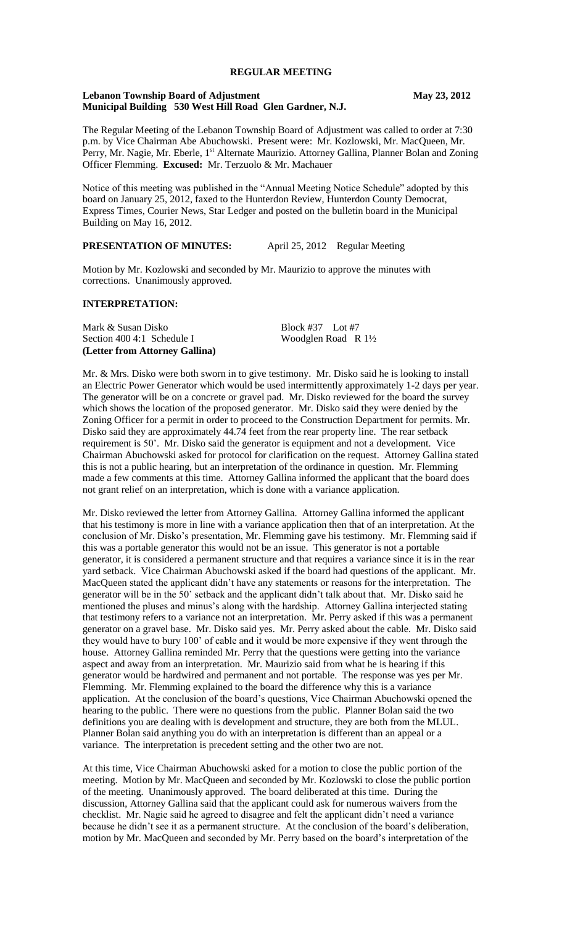# **REGULAR MEETING**

#### **Lebanon Township Board of Adjustment May 23, 2012 Municipal Building 530 West Hill Road Glen Gardner, N.J.**

The Regular Meeting of the Lebanon Township Board of Adjustment was called to order at 7:30 p.m. by Vice Chairman Abe Abuchowski. Present were: Mr. Kozlowski, Mr. MacQueen, Mr. Perry, Mr. Nagie, Mr. Eberle, 1<sup>st</sup> Alternate Maurizio. Attorney Gallina, Planner Bolan and Zoning Officer Flemming. **Excused:** Mr. Terzuolo & Mr. Machauer

Notice of this meeting was published in the "Annual Meeting Notice Schedule" adopted by this board on January 25, 2012, faxed to the Hunterdon Review, Hunterdon County Democrat, Express Times, Courier News, Star Ledger and posted on the bulletin board in the Municipal Building on May 16, 2012.

# **PRESENTATION OF MINUTES:** April 25, 2012 Regular Meeting

Motion by Mr. Kozlowski and seconded by Mr. Maurizio to approve the minutes with corrections. Unanimously approved.

#### **INTERPRETATION:**

Mark & Susan Disko Block #37 Lot #7 Section 400 4:1 Schedule I Woodglen Road R 1<sup>1</sup>/<sub>2</sub> **(Letter from Attorney Gallina)** 

Mr. & Mrs. Disko were both sworn in to give testimony. Mr. Disko said he is looking to install an Electric Power Generator which would be used intermittently approximately 1-2 days per year. The generator will be on a concrete or gravel pad. Mr. Disko reviewed for the board the survey which shows the location of the proposed generator. Mr. Disko said they were denied by the Zoning Officer for a permit in order to proceed to the Construction Department for permits. Mr. Disko said they are approximately 44.74 feet from the rear property line. The rear setback requirement is 50'. Mr. Disko said the generator is equipment and not a development. Vice Chairman Abuchowski asked for protocol for clarification on the request. Attorney Gallina stated this is not a public hearing, but an interpretation of the ordinance in question. Mr. Flemming made a few comments at this time. Attorney Gallina informed the applicant that the board does not grant relief on an interpretation, which is done with a variance application.

Mr. Disko reviewed the letter from Attorney Gallina. Attorney Gallina informed the applicant that his testimony is more in line with a variance application then that of an interpretation. At the conclusion of Mr. Disko's presentation, Mr. Flemming gave his testimony. Mr. Flemming said if this was a portable generator this would not be an issue. This generator is not a portable generator, it is considered a permanent structure and that requires a variance since it is in the rear yard setback. Vice Chairman Abuchowski asked if the board had questions of the applicant. Mr. MacQueen stated the applicant didn't have any statements or reasons for the interpretation. The generator will be in the 50' setback and the applicant didn't talk about that. Mr. Disko said he mentioned the pluses and minus's along with the hardship. Attorney Gallina interjected stating that testimony refers to a variance not an interpretation. Mr. Perry asked if this was a permanent generator on a gravel base. Mr. Disko said yes. Mr. Perry asked about the cable. Mr. Disko said they would have to bury 100' of cable and it would be more expensive if they went through the house. Attorney Gallina reminded Mr. Perry that the questions were getting into the variance aspect and away from an interpretation. Mr. Maurizio said from what he is hearing if this generator would be hardwired and permanent and not portable. The response was yes per Mr. Flemming. Mr. Flemming explained to the board the difference why this is a variance application. At the conclusion of the board's questions, Vice Chairman Abuchowski opened the hearing to the public. There were no questions from the public. Planner Bolan said the two definitions you are dealing with is development and structure, they are both from the MLUL. Planner Bolan said anything you do with an interpretation is different than an appeal or a variance. The interpretation is precedent setting and the other two are not.

At this time, Vice Chairman Abuchowski asked for a motion to close the public portion of the meeting. Motion by Mr. MacQueen and seconded by Mr. Kozlowski to close the public portion of the meeting. Unanimously approved. The board deliberated at this time. During the discussion, Attorney Gallina said that the applicant could ask for numerous waivers from the checklist. Mr. Nagie said he agreed to disagree and felt the applicant didn't need a variance because he didn't see it as a permanent structure. At the conclusion of the board's deliberation, motion by Mr. MacQueen and seconded by Mr. Perry based on the board's interpretation of the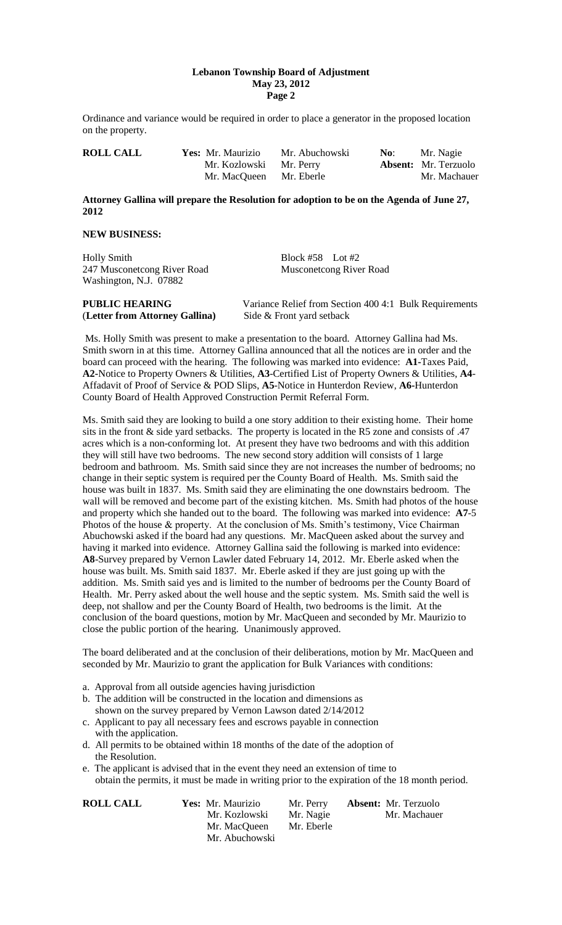#### **Lebanon Township Board of Adjustment May 23, 2012 Page 2**

Ordinance and variance would be required in order to place a generator in the proposed location on the property.

| <b>ROLL CALL</b> | Yes: Mr. Maurizio       | Mr. Abuchowski | No: | Mr. Nagie                   |
|------------------|-------------------------|----------------|-----|-----------------------------|
|                  | Mr. Kozlowski Mr. Perry |                |     | <b>Absent:</b> Mr. Terzuolo |
|                  | Mr. MacQueen Mr. Eberle |                |     | Mr. Machauer                |

## **Attorney Gallina will prepare the Resolution for adoption to be on the Agenda of June 27, 2012**

### **NEW BUSINESS:**

Holly Smith Block #58 Lot #2 247 Musconetcong River Road Musconetcong River Road Washington, N.J. 07882

| <b>PUBLIC HEARING</b>          | Variance Relief from Section 400 4:1 Bulk Requirements |  |
|--------------------------------|--------------------------------------------------------|--|
| (Letter from Attorney Gallina) | Side & Front yard setback                              |  |

Ms. Holly Smith was present to make a presentation to the board. Attorney Gallina had Ms. Smith sworn in at this time. Attorney Gallina announced that all the notices are in order and the board can proceed with the hearing. The following was marked into evidence: **A1-**Taxes Paid, **A2-**Notice to Property Owners & Utilities, **A3**-Certified List of Property Owners & Utilities, **A4**- Affadavit of Proof of Service & POD Slips, **A5**-Notice in Hunterdon Review, **A6-**Hunterdon County Board of Health Approved Construction Permit Referral Form.

Ms. Smith said they are looking to build a one story addition to their existing home. Their home sits in the front & side yard setbacks. The property is located in the R5 zone and consists of .47 acres which is a non-conforming lot. At present they have two bedrooms and with this addition they will still have two bedrooms. The new second story addition will consists of 1 large bedroom and bathroom. Ms. Smith said since they are not increases the number of bedrooms; no change in their septic system is required per the County Board of Health. Ms. Smith said the house was built in 1837. Ms. Smith said they are eliminating the one downstairs bedroom. The wall will be removed and become part of the existing kitchen. Ms. Smith had photos of the house and property which she handed out to the board. The following was marked into evidence: **A7**-5 Photos of the house & property. At the conclusion of Ms. Smith's testimony, Vice Chairman Abuchowski asked if the board had any questions. Mr. MacQueen asked about the survey and having it marked into evidence. Attorney Gallina said the following is marked into evidence: **A8**-Survey prepared by Vernon Lawler dated February 14, 2012. Mr. Eberle asked when the house was built. Ms. Smith said 1837. Mr. Eberle asked if they are just going up with the addition. Ms. Smith said yes and is limited to the number of bedrooms per the County Board of Health. Mr. Perry asked about the well house and the septic system. Ms. Smith said the well is deep, not shallow and per the County Board of Health, two bedrooms is the limit. At the conclusion of the board questions, motion by Mr. MacQueen and seconded by Mr. Maurizio to close the public portion of the hearing. Unanimously approved.

The board deliberated and at the conclusion of their deliberations, motion by Mr. MacQueen and seconded by Mr. Maurizio to grant the application for Bulk Variances with conditions:

- a. Approval from all outside agencies having jurisdiction
- b. The addition will be constructed in the location and dimensions as shown on the survey prepared by Vernon Lawson dated 2/14/2012
- c. Applicant to pay all necessary fees and escrows payable in connection with the application.
- d. All permits to be obtained within 18 months of the date of the adoption of the Resolution.
- e. The applicant is advised that in the event they need an extension of time to obtain the permits, it must be made in writing prior to the expiration of the 18 month period.

**ROLL CALL Yes:** Mr. Maurizio Mr. Perry **Absent:** Mr. Terzuolo Mr. Kozlowski Mr. Nagie Mr. Machauer Mr. MacQueen Mr. Eberle Mr. Abuchowski